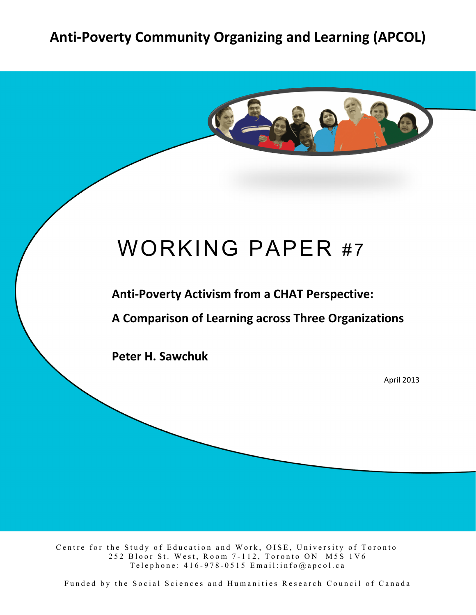# Anti-Poverty Community Organizing and Learning (APCOL)



# WORKING PAPER #7

**Anti-Poverty Activism from a CHAT Perspective:** 

**A,Comparison,of,Learning,across,Three,Organizations**

Peter H. Sawchuk

April 2013

Centre for the Study of Education and Work, OISE, University of Toronto 252 Bloor St. West, Room 7 - 112, Toronto ON M5S 1V6 Telephone:  $416 - 978 - 0515$  Email: info@apcol.ca

Funded by the Social Sciences and Humanities Research Council of Canada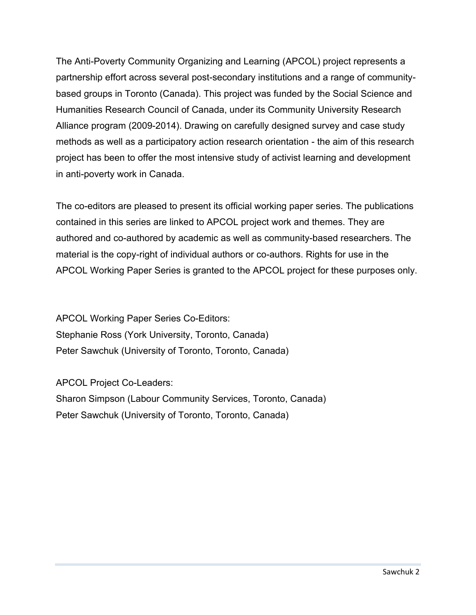The Anti-Poverty Community Organizing and Learning (APCOL) project represents a partnership effort across several post-secondary institutions and a range of communitybased groups in Toronto (Canada). This project was funded by the Social Science and Humanities Research Council of Canada, under its Community University Research Alliance program (2009-2014). Drawing on carefully designed survey and case study methods as well as a participatory action research orientation - the aim of this research project has been to offer the most intensive study of activist learning and development in anti-poverty work in Canada.

The co-editors are pleased to present its official working paper series. The publications contained in this series are linked to APCOL project work and themes. They are authored and co-authored by academic as well as community-based researchers. The material is the copy-right of individual authors or co-authors. Rights for use in the APCOL Working Paper Series is granted to the APCOL project for these purposes only.

APCOL Working Paper Series Co-Editors: Stephanie Ross (York University, Toronto, Canada) Peter Sawchuk (University of Toronto, Toronto, Canada)

APCOL Project Co-Leaders: Sharon Simpson (Labour Community Services, Toronto, Canada) Peter Sawchuk (University of Toronto, Toronto, Canada)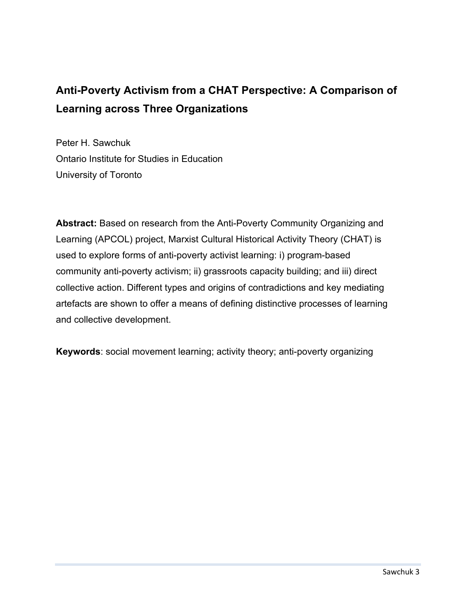## **Anti-Poverty Activism from a CHAT Perspective: A Comparison of Learning across Three Organizations**

Peter H. Sawchuk Ontario Institute for Studies in Education University of Toronto

**Abstract:** Based on research from the Anti-Poverty Community Organizing and Learning (APCOL) project, Marxist Cultural Historical Activity Theory (CHAT) is used to explore forms of anti-poverty activist learning: i) program-based community anti-poverty activism; ii) grassroots capacity building; and iii) direct collective action. Different types and origins of contradictions and key mediating artefacts are shown to offer a means of defining distinctive processes of learning and collective development.

**Keywords**: social movement learning; activity theory; anti-poverty organizing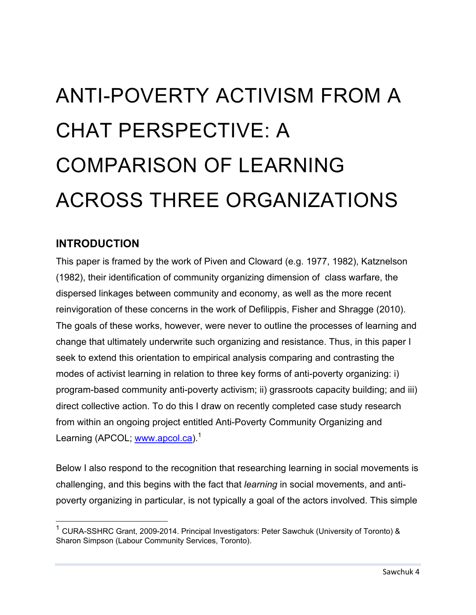# ANTI-POVERTY ACTIVISM FROM A CHAT PERSPECTIVE: A COMPARISON OF LEARNING ACROSS THREE ORGANIZATIONS

#### **INTRODUCTION**

This paper is framed by the work of Piven and Cloward (e.g. 1977, 1982), Katznelson (1982), their identification of community organizing dimension of class warfare, the dispersed linkages between community and economy, as well as the more recent reinvigoration of these concerns in the work of Defilippis, Fisher and Shragge (2010). The goals of these works, however, were never to outline the processes of learning and change that ultimately underwrite such organizing and resistance. Thus, in this paper I seek to extend this orientation to empirical analysis comparing and contrasting the modes of activist learning in relation to three key forms of anti-poverty organizing: i) program-based community anti-poverty activism; ii) grassroots capacity building; and iii) direct collective action. To do this I draw on recently completed case study research from within an ongoing project entitled Anti-Poverty Community Organizing and Learning (APCOL; www.apcol.ca).<sup>1</sup>

Below I also respond to the recognition that researching learning in social movements is challenging, and this begins with the fact that *learning* in social movements, and antipoverty organizing in particular, is not typically a goal of the actors involved. This simple

 $1$  CURA-SSHRC Grant, 2009-2014. Principal Investigators: Peter Sawchuk (University of Toronto) & Sharon Simpson (Labour Community Services, Toronto).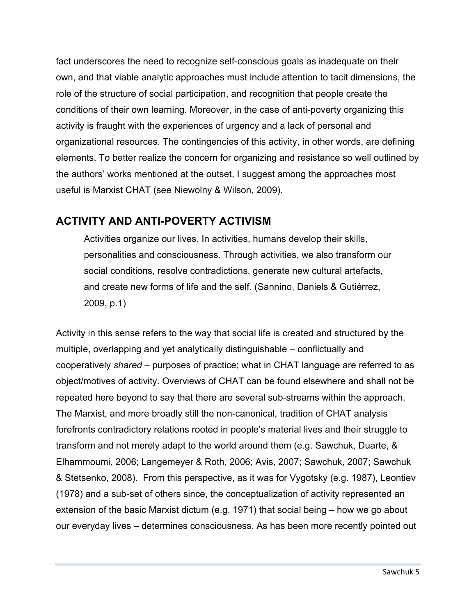fact underscores the need to recognize self-conscious goals as inadequate on their own, and that viable analytic approaches must include attention to tacit dimensions, the role of the structure of social participation, and recognition that people create the conditions of their own learning. Moreover, in the case of anti-poverty organizing this activity is fraught with the experiences of urgency and a lack of personal and organizational resources. The contingencies of this activity, in other words, are defining elements. To better realize the concern for organizing and resistance so well outlined by the authors' works mentioned at the outset, I suggest among the approaches most useful is Marxist CHAT (see Niewolny & Wilson, 2009).

#### **ACTIVITY AND ANTI-POVERTY ACTIVISM**

Activities organize our lives. In activities, humans develop their skills, personalities and consciousness. Through activities, we also transform our social conditions, resolve contradictions, generate new cultural artefacts, and create new forms of life and the self. (Sannino, Daniels & Gutiérrez, 2009, p.1)

Activity in this sense refers to the way that social life is created and structured by the multiple, overlapping and yet analytically distinguishable – conflictually and cooperatively *shared* – purposes of practice; what in CHAT language are referred to as object/motives of activity. Overviews of CHAT can be found elsewhere and shall not be repeated here beyond to say that there are several sub-streams within the approach. The Marxist, and more broadly still the non-canonical, tradition of CHAT analysis forefronts contradictory relations rooted in people's material lives and their struggle to transform and not merely adapt to the world around them (e.g. Sawchuk, Duarte, & Elhammoumi, 2006; Langemeyer & Roth, 2006; Avis, 2007; Sawchuk, 2007; Sawchuk & Stetsenko, 2008). From this perspective, as it was for Vygotsky (e.g. 1987), Leontiev (1978) and a sub-set of others since, the conceptualization of activity represented an extension of the basic Marxist dictum (e.g. 1971) that social being – how we go about our everyday lives – determines consciousness. As has been more recently pointed out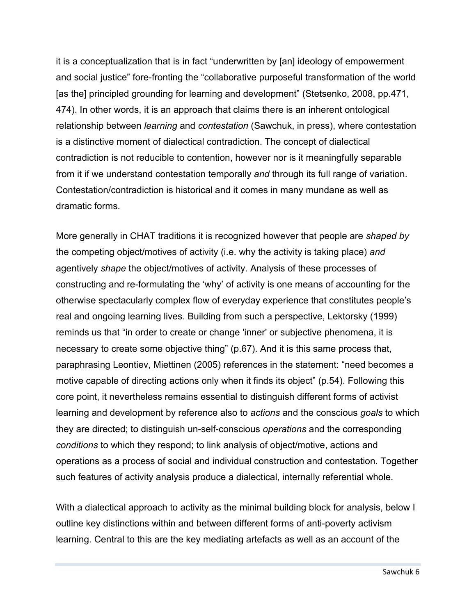it is a conceptualization that is in fact "underwritten by [an] ideology of empowerment and social justice" fore-fronting the "collaborative purposeful transformation of the world [as the] principled grounding for learning and development" (Stetsenko, 2008, pp.471, 474). In other words, it is an approach that claims there is an inherent ontological relationship between *learning* and *contestation* (Sawchuk, in press), where contestation is a distinctive moment of dialectical contradiction. The concept of dialectical contradiction is not reducible to contention, however nor is it meaningfully separable from it if we understand contestation temporally *and* through its full range of variation. Contestation/contradiction is historical and it comes in many mundane as well as dramatic forms.

More generally in CHAT traditions it is recognized however that people are *shaped by* the competing object/motives of activity (i.e. why the activity is taking place) *and* agentively *shape* the object/motives of activity. Analysis of these processes of constructing and re-formulating the 'why' of activity is one means of accounting for the otherwise spectacularly complex flow of everyday experience that constitutes people's real and ongoing learning lives. Building from such a perspective, Lektorsky (1999) reminds us that "in order to create or change 'inner' or subjective phenomena, it is necessary to create some objective thing" (p.67). And it is this same process that, paraphrasing Leontiev, Miettinen (2005) references in the statement: "need becomes a motive capable of directing actions only when it finds its object" (p.54). Following this core point, it nevertheless remains essential to distinguish different forms of activist learning and development by reference also to *actions* and the conscious *goals* to which they are directed; to distinguish un-self-conscious *operations* and the corresponding *conditions* to which they respond; to link analysis of object/motive, actions and operations as a process of social and individual construction and contestation. Together such features of activity analysis produce a dialectical, internally referential whole.

With a dialectical approach to activity as the minimal building block for analysis, below I outline key distinctions within and between different forms of anti-poverty activism learning. Central to this are the key mediating artefacts as well as an account of the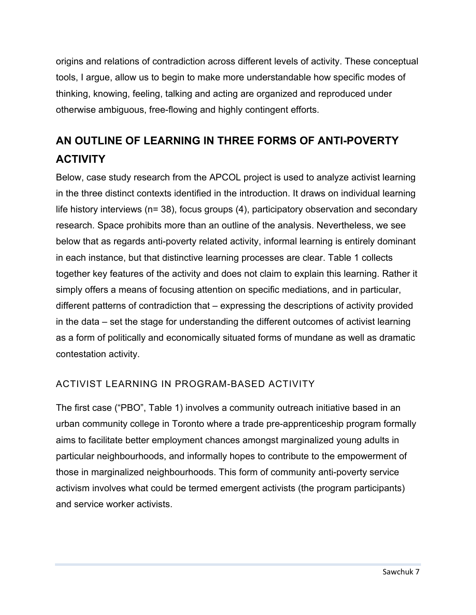origins and relations of contradiction across different levels of activity. These conceptual tools, I argue, allow us to begin to make more understandable how specific modes of thinking, knowing, feeling, talking and acting are organized and reproduced under otherwise ambiguous, free-flowing and highly contingent efforts.

## **AN OUTLINE OF LEARNING IN THREE FORMS OF ANTI-POVERTY ACTIVITY**

Below, case study research from the APCOL project is used to analyze activist learning in the three distinct contexts identified in the introduction. It draws on individual learning life history interviews (n= 38), focus groups (4), participatory observation and secondary research. Space prohibits more than an outline of the analysis. Nevertheless, we see below that as regards anti-poverty related activity, informal learning is entirely dominant in each instance, but that distinctive learning processes are clear. Table 1 collects together key features of the activity and does not claim to explain this learning. Rather it simply offers a means of focusing attention on specific mediations, and in particular, different patterns of contradiction that – expressing the descriptions of activity provided in the data – set the stage for understanding the different outcomes of activist learning as a form of politically and economically situated forms of mundane as well as dramatic contestation activity.

#### ACTIVIST LEARNING IN PROGRAM-BASED ACTIVITY

The first case ("PBO", Table 1) involves a community outreach initiative based in an urban community college in Toronto where a trade pre-apprenticeship program formally aims to facilitate better employment chances amongst marginalized young adults in particular neighbourhoods, and informally hopes to contribute to the empowerment of those in marginalized neighbourhoods. This form of community anti-poverty service activism involves what could be termed emergent activists (the program participants) and service worker activists.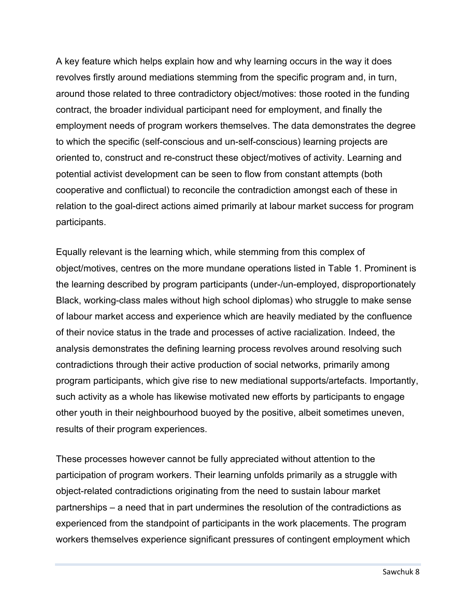A key feature which helps explain how and why learning occurs in the way it does revolves firstly around mediations stemming from the specific program and, in turn, around those related to three contradictory object/motives: those rooted in the funding contract, the broader individual participant need for employment, and finally the employment needs of program workers themselves. The data demonstrates the degree to which the specific (self-conscious and un-self-conscious) learning projects are oriented to, construct and re-construct these object/motives of activity. Learning and potential activist development can be seen to flow from constant attempts (both cooperative and conflictual) to reconcile the contradiction amongst each of these in relation to the goal-direct actions aimed primarily at labour market success for program participants.

Equally relevant is the learning which, while stemming from this complex of object/motives, centres on the more mundane operations listed in Table 1. Prominent is the learning described by program participants (under-/un-employed, disproportionately Black, working-class males without high school diplomas) who struggle to make sense of labour market access and experience which are heavily mediated by the confluence of their novice status in the trade and processes of active racialization. Indeed, the analysis demonstrates the defining learning process revolves around resolving such contradictions through their active production of social networks, primarily among program participants, which give rise to new mediational supports/artefacts. Importantly, such activity as a whole has likewise motivated new efforts by participants to engage other youth in their neighbourhood buoyed by the positive, albeit sometimes uneven, results of their program experiences.

These processes however cannot be fully appreciated without attention to the participation of program workers. Their learning unfolds primarily as a struggle with object-related contradictions originating from the need to sustain labour market partnerships – a need that in part undermines the resolution of the contradictions as experienced from the standpoint of participants in the work placements. The program workers themselves experience significant pressures of contingent employment which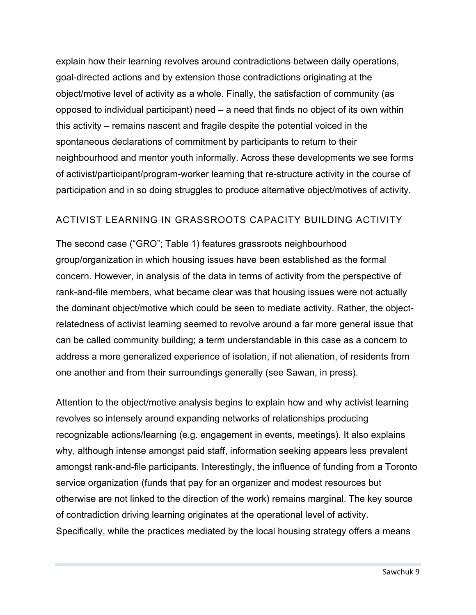explain how their learning revolves around contradictions between daily operations, goal-directed actions and by extension those contradictions originating at the object/motive level of activity as a whole. Finally, the satisfaction of community (as opposed to individual participant) need – a need that finds no object of its own within this activity – remains nascent and fragile despite the potential voiced in the spontaneous declarations of commitment by participants to return to their neighbourhood and mentor youth informally. Across these developments we see forms of activist/participant/program-worker learning that re-structure activity in the course of participation and in so doing struggles to produce alternative object/motives of activity.

#### ACTIVIST LEARNING IN GRASSROOTS CAPACITY BUILDING ACTIVITY

The second case ("GRO"; Table 1) features grassroots neighbourhood group/organization in which housing issues have been established as the formal concern. However, in analysis of the data in terms of activity from the perspective of rank-and-file members, what became clear was that housing issues were not actually the dominant object/motive which could be seen to mediate activity. Rather, the objectrelatedness of activist learning seemed to revolve around a far more general issue that can be called community building; a term understandable in this case as a concern to address a more generalized experience of isolation, if not alienation, of residents from one another and from their surroundings generally (see Sawan, in press).

Attention to the object/motive analysis begins to explain how and why activist learning revolves so intensely around expanding networks of relationships producing recognizable actions/learning (e.g. engagement in events, meetings). It also explains why, although intense amongst paid staff, information seeking appears less prevalent amongst rank-and-file participants. Interestingly, the influence of funding from a Toronto service organization (funds that pay for an organizer and modest resources but otherwise are not linked to the direction of the work) remains marginal. The key source of contradiction driving learning originates at the operational level of activity. Specifically, while the practices mediated by the local housing strategy offers a means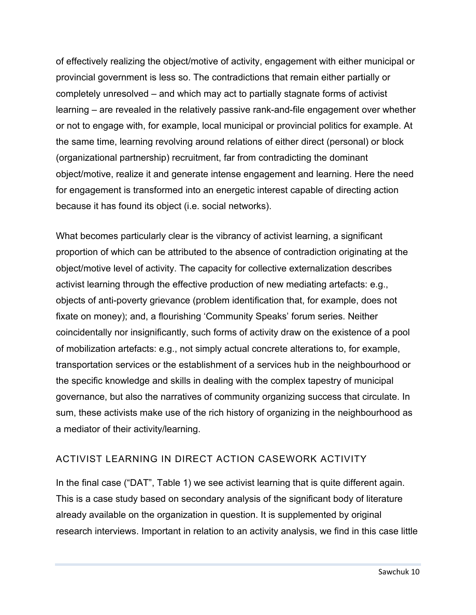of effectively realizing the object/motive of activity, engagement with either municipal or provincial government is less so. The contradictions that remain either partially or completely unresolved – and which may act to partially stagnate forms of activist learning – are revealed in the relatively passive rank-and-file engagement over whether or not to engage with, for example, local municipal or provincial politics for example. At the same time, learning revolving around relations of either direct (personal) or block (organizational partnership) recruitment, far from contradicting the dominant object/motive, realize it and generate intense engagement and learning. Here the need for engagement is transformed into an energetic interest capable of directing action because it has found its object (i.e. social networks).

What becomes particularly clear is the vibrancy of activist learning, a significant proportion of which can be attributed to the absence of contradiction originating at the object/motive level of activity. The capacity for collective externalization describes activist learning through the effective production of new mediating artefacts: e.g., objects of anti-poverty grievance (problem identification that, for example, does not fixate on money); and, a flourishing 'Community Speaks' forum series. Neither coincidentally nor insignificantly, such forms of activity draw on the existence of a pool of mobilization artefacts: e.g., not simply actual concrete alterations to, for example, transportation services or the establishment of a services hub in the neighbourhood or the specific knowledge and skills in dealing with the complex tapestry of municipal governance, but also the narratives of community organizing success that circulate. In sum, these activists make use of the rich history of organizing in the neighbourhood as a mediator of their activity/learning.

#### ACTIVIST LEARNING IN DIRECT ACTION CASEWORK ACTIVITY

In the final case ("DAT", Table 1) we see activist learning that is quite different again. This is a case study based on secondary analysis of the significant body of literature already available on the organization in question. It is supplemented by original research interviews. Important in relation to an activity analysis, we find in this case little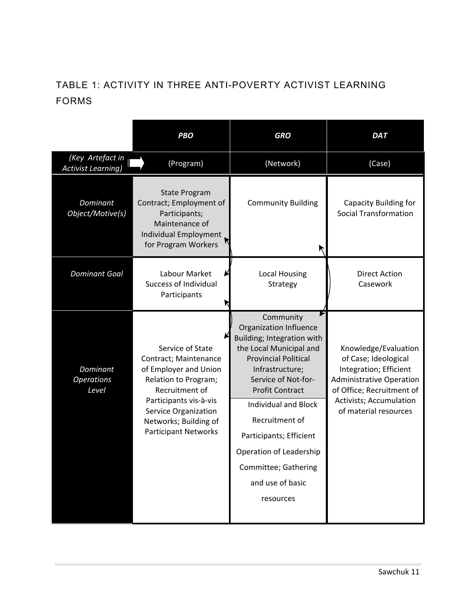#### TABLE 1: ACTIVITY IN THREE ANTI-POVERTY ACTIVIST LEARNING FORMS

|                                               | <b>PBO</b>                                                                                                                                                                                                             | <b>GRO</b>                                                                                                                                                                                                                                                                                                                                               | <b>DAT</b>                                                                                                                                                                                 |
|-----------------------------------------------|------------------------------------------------------------------------------------------------------------------------------------------------------------------------------------------------------------------------|----------------------------------------------------------------------------------------------------------------------------------------------------------------------------------------------------------------------------------------------------------------------------------------------------------------------------------------------------------|--------------------------------------------------------------------------------------------------------------------------------------------------------------------------------------------|
| (Key Artefact in<br><b>Activist Learning)</b> | (Program)                                                                                                                                                                                                              | (Network)                                                                                                                                                                                                                                                                                                                                                | (Case)                                                                                                                                                                                     |
| Dominant<br>Object/Motive(s)                  | <b>State Program</b><br>Contract; Employment of<br>Participants;<br>Maintenance of<br>Individual Employment<br>for Program Workers                                                                                     | <b>Community Building</b><br>↖                                                                                                                                                                                                                                                                                                                           | Capacity Building for<br><b>Social Transformation</b>                                                                                                                                      |
| <b>Dominant Goal</b>                          | Labour Market<br><b>Success of Individual</b><br>Participants                                                                                                                                                          | <b>Local Housing</b><br>Strategy                                                                                                                                                                                                                                                                                                                         | <b>Direct Action</b><br>Casework                                                                                                                                                           |
| Dominant<br><b>Operations</b><br>Level        | Service of State<br>Contract; Maintenance<br>of Employer and Union<br>Relation to Program;<br>Recruitment of<br>Participants vis-à-vis<br>Service Organization<br>Networks; Building of<br><b>Participant Networks</b> | Community<br>Organization Influence<br>Building; Integration with<br>the Local Municipal and<br><b>Provincial Political</b><br>Infrastructure;<br>Service of Not-for-<br><b>Profit Contract</b><br>Individual and Block<br>Recruitment of<br>Participants; Efficient<br>Operation of Leadership<br>Committee; Gathering<br>and use of basic<br>resources | Knowledge/Evaluation<br>of Case; Ideological<br>Integration; Efficient<br><b>Administrative Operation</b><br>of Office; Recruitment of<br>Activists; Accumulation<br>of material resources |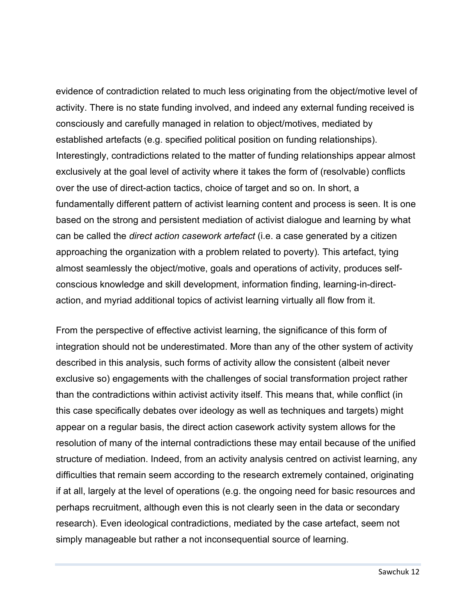evidence of contradiction related to much less originating from the object/motive level of activity. There is no state funding involved, and indeed any external funding received is consciously and carefully managed in relation to object/motives, mediated by established artefacts (e.g. specified political position on funding relationships). Interestingly, contradictions related to the matter of funding relationships appear almost exclusively at the goal level of activity where it takes the form of (resolvable) conflicts over the use of direct-action tactics, choice of target and so on. In short, a fundamentally different pattern of activist learning content and process is seen. It is one based on the strong and persistent mediation of activist dialogue and learning by what can be called the *direct action casework artefact* (i.e. a case generated by a citizen approaching the organization with a problem related to poverty)*.* This artefact, tying almost seamlessly the object/motive, goals and operations of activity, produces selfconscious knowledge and skill development, information finding, learning-in-directaction, and myriad additional topics of activist learning virtually all flow from it.

From the perspective of effective activist learning, the significance of this form of integration should not be underestimated. More than any of the other system of activity described in this analysis, such forms of activity allow the consistent (albeit never exclusive so) engagements with the challenges of social transformation project rather than the contradictions within activist activity itself. This means that, while conflict (in this case specifically debates over ideology as well as techniques and targets) might appear on a regular basis, the direct action casework activity system allows for the resolution of many of the internal contradictions these may entail because of the unified structure of mediation. Indeed, from an activity analysis centred on activist learning, any difficulties that remain seem according to the research extremely contained, originating if at all, largely at the level of operations (e.g. the ongoing need for basic resources and perhaps recruitment, although even this is not clearly seen in the data or secondary research). Even ideological contradictions, mediated by the case artefact, seem not simply manageable but rather a not inconsequential source of learning.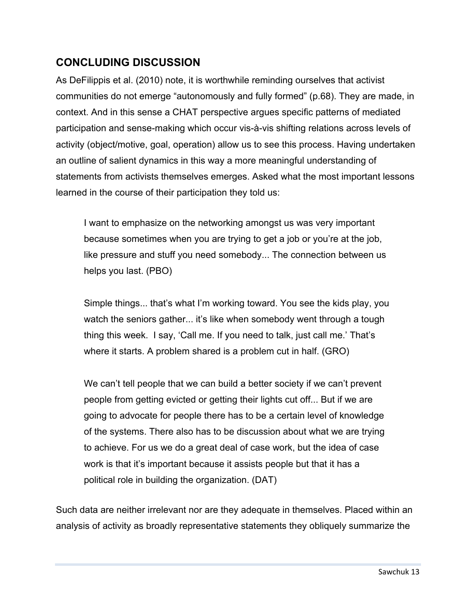#### **CONCLUDING DISCUSSION**

As DeFilippis et al. (2010) note, it is worthwhile reminding ourselves that activist communities do not emerge "autonomously and fully formed" (p.68). They are made, in context. And in this sense a CHAT perspective argues specific patterns of mediated participation and sense-making which occur vis-à-vis shifting relations across levels of activity (object/motive, goal, operation) allow us to see this process. Having undertaken an outline of salient dynamics in this way a more meaningful understanding of statements from activists themselves emerges. Asked what the most important lessons learned in the course of their participation they told us:

I want to emphasize on the networking amongst us was very important because sometimes when you are trying to get a job or you're at the job, like pressure and stuff you need somebody... The connection between us helps you last. (PBO)

Simple things... that's what I'm working toward. You see the kids play, you watch the seniors gather... it's like when somebody went through a tough thing this week. I say, 'Call me. If you need to talk, just call me.' That's where it starts. A problem shared is a problem cut in half. (GRO)

We can't tell people that we can build a better society if we can't prevent people from getting evicted or getting their lights cut off... But if we are going to advocate for people there has to be a certain level of knowledge of the systems. There also has to be discussion about what we are trying to achieve. For us we do a great deal of case work, but the idea of case work is that it's important because it assists people but that it has a political role in building the organization. (DAT)

Such data are neither irrelevant nor are they adequate in themselves. Placed within an analysis of activity as broadly representative statements they obliquely summarize the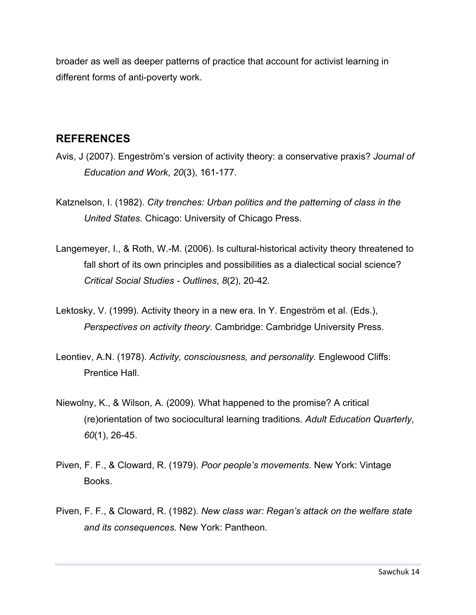broader as well as deeper patterns of practice that account for activist learning in different forms of anti-poverty work.

#### **REFERENCES**

- Avis, J (2007). Engeström's version of activity theory: a conservative praxis? *Journal of Education and Work*, *20*(3), 161-177.
- Katznelson, I. (1982). *City trenches: Urban politics and the patterning of class in the United States*. Chicago: University of Chicago Press.
- Langemeyer, I., & Roth, W.-M. (2006). Is cultural-historical activity theory threatened to fall short of its own principles and possibilities as a dialectical social science? *Critical Social Studies - Outlines*, *8*(2), 20-42.
- Lektosky, V. (1999). Activity theory in a new era. In Y. Engeström et al. (Eds.), *Perspectives on activity theory.* Cambridge: Cambridge University Press.
- Leontiev, A.N. (1978). *Activity, consciousness, and personality.* Englewood Cliffs: Prentice Hall.
- Niewolny, K., & Wilson, A. (2009). What happened to the promise? A critical (re)orientation of two sociocultural learning traditions. *Adult Education Quarterly*, *60*(1), 26-45.
- Piven, F. F., & Cloward, R. (1979). *Poor people's movements*. New York: Vintage Books.
- Piven, F. F., & Cloward, R. (1982). *New class war: Regan's attack on the welfare state and its consequences*. New York: Pantheon.